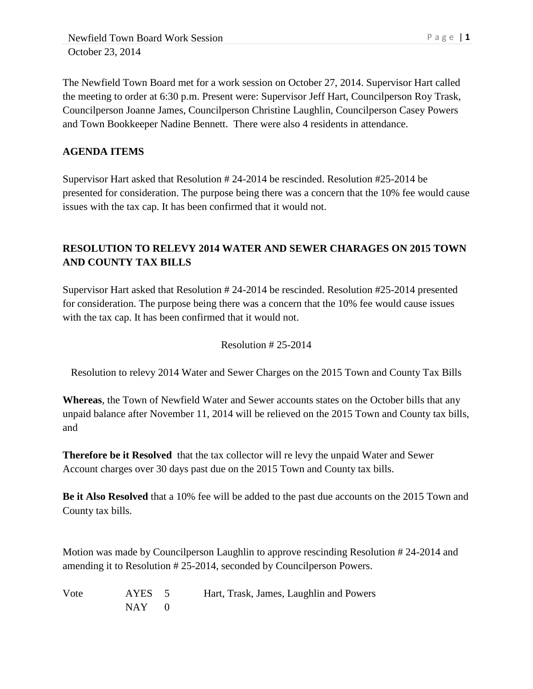The Newfield Town Board met for a work session on October 27, 2014. Supervisor Hart called the meeting to order at 6:30 p.m. Present were: Supervisor Jeff Hart, Councilperson Roy Trask, Councilperson Joanne James, Councilperson Christine Laughlin, Councilperson Casey Powers and Town Bookkeeper Nadine Bennett. There were also 4 residents in attendance.

### **AGENDA ITEMS**

Supervisor Hart asked that Resolution # 24-2014 be rescinded. Resolution #25-2014 be presented for consideration. The purpose being there was a concern that the 10% fee would cause issues with the tax cap. It has been confirmed that it would not.

## **RESOLUTION TO RELEVY 2014 WATER AND SEWER CHARAGES ON 2015 TOWN AND COUNTY TAX BILLS**

Supervisor Hart asked that Resolution # 24-2014 be rescinded. Resolution #25-2014 presented for consideration. The purpose being there was a concern that the 10% fee would cause issues with the tax cap. It has been confirmed that it would not.

### Resolution # 25-2014

Resolution to relevy 2014 Water and Sewer Charges on the 2015 Town and County Tax Bills

**Whereas**, the Town of Newfield Water and Sewer accounts states on the October bills that any unpaid balance after November 11, 2014 will be relieved on the 2015 Town and County tax bills, and

**Therefore be it Resolved** that the tax collector will re levy the unpaid Water and Sewer Account charges over 30 days past due on the 2015 Town and County tax bills.

**Be it Also Resolved** that a 10% fee will be added to the past due accounts on the 2015 Town and County tax bills.

Motion was made by Councilperson Laughlin to approve rescinding Resolution # 24-2014 and amending it to Resolution # 25-2014, seconded by Councilperson Powers.

| Vote | AYES 5    | Hart, Trask, James, Laughlin and Powers |
|------|-----------|-----------------------------------------|
|      | $NAY = 0$ |                                         |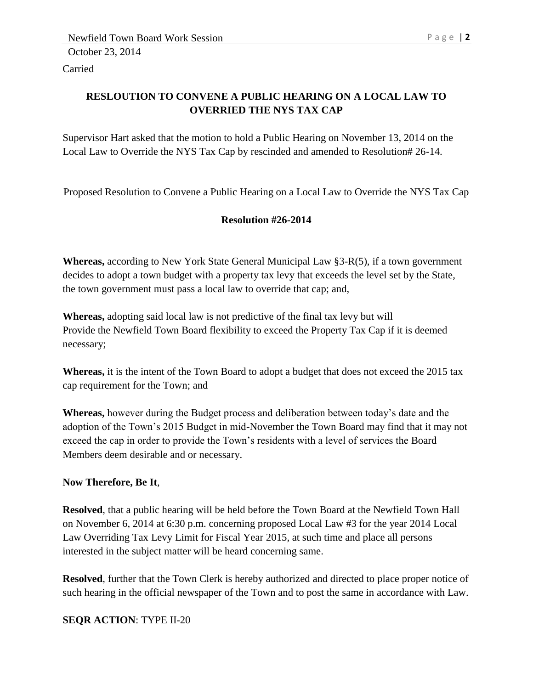Carried

## **RESLOUTION TO CONVENE A PUBLIC HEARING ON A LOCAL LAW TO OVERRIED THE NYS TAX CAP**

Supervisor Hart asked that the motion to hold a Public Hearing on November 13, 2014 on the Local Law to Override the NYS Tax Cap by rescinded and amended to Resolution# 26-14.

Proposed Resolution to Convene a Public Hearing on a Local Law to Override the NYS Tax Cap

## **Resolution #26-2014**

**Whereas,** according to New York State General Municipal Law §3-R(5), if a town government decides to adopt a town budget with a property tax levy that exceeds the level set by the State, the town government must pass a local law to override that cap; and,

**Whereas,** adopting said local law is not predictive of the final tax levy but will Provide the Newfield Town Board flexibility to exceed the Property Tax Cap if it is deemed necessary;

**Whereas,** it is the intent of the Town Board to adopt a budget that does not exceed the 2015 tax cap requirement for the Town; and

**Whereas,** however during the Budget process and deliberation between today's date and the adoption of the Town's 2015 Budget in mid-November the Town Board may find that it may not exceed the cap in order to provide the Town's residents with a level of services the Board Members deem desirable and or necessary.

### **Now Therefore, Be It**,

**Resolved**, that a public hearing will be held before the Town Board at the Newfield Town Hall on November 6, 2014 at 6:30 p.m. concerning proposed Local Law #3 for the year 2014 Local Law Overriding Tax Levy Limit for Fiscal Year 2015, at such time and place all persons interested in the subject matter will be heard concerning same.

**Resolved**, further that the Town Clerk is hereby authorized and directed to place proper notice of such hearing in the official newspaper of the Town and to post the same in accordance with Law.

### **SEQR ACTION**: TYPE II-20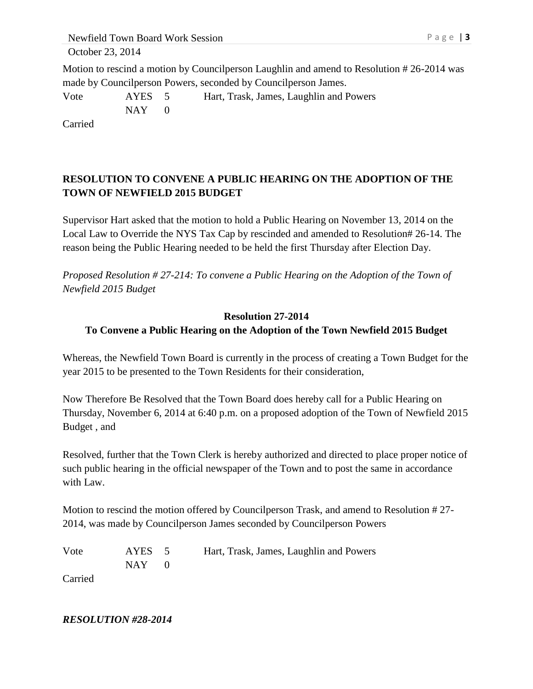Newfield Town Board Work Session P a g e | 3 October 23, 2014

Motion to rescind a motion by Councilperson Laughlin and amend to Resolution # 26-2014 was made by Councilperson Powers, seconded by Councilperson James.

Vote AYES 5 Hart, Trask, James, Laughlin and Powers  $NAY$  0

Carried

# **RESOLUTION TO CONVENE A PUBLIC HEARING ON THE ADOPTION OF THE TOWN OF NEWFIELD 2015 BUDGET**

Supervisor Hart asked that the motion to hold a Public Hearing on November 13, 2014 on the Local Law to Override the NYS Tax Cap by rescinded and amended to Resolution# 26-14. The reason being the Public Hearing needed to be held the first Thursday after Election Day.

*Proposed Resolution # 27-214: To convene a Public Hearing on the Adoption of the Town of Newfield 2015 Budget*

### **Resolution 27-2014 To Convene a Public Hearing on the Adoption of the Town Newfield 2015 Budget**

Whereas, the Newfield Town Board is currently in the process of creating a Town Budget for the year 2015 to be presented to the Town Residents for their consideration,

Now Therefore Be Resolved that the Town Board does hereby call for a Public Hearing on Thursday, November 6, 2014 at 6:40 p.m. on a proposed adoption of the Town of Newfield 2015 Budget , and

Resolved, further that the Town Clerk is hereby authorized and directed to place proper notice of such public hearing in the official newspaper of the Town and to post the same in accordance with Law.

Motion to rescind the motion offered by Councilperson Trask, and amend to Resolution # 27- 2014, was made by Councilperson James seconded by Councilperson Powers

| Vote    | AYES 5    | Hart, Trask, James, Laughlin and Powers |
|---------|-----------|-----------------------------------------|
|         | $NAY = 0$ |                                         |
| Carried |           |                                         |

*RESOLUTION #28-2014*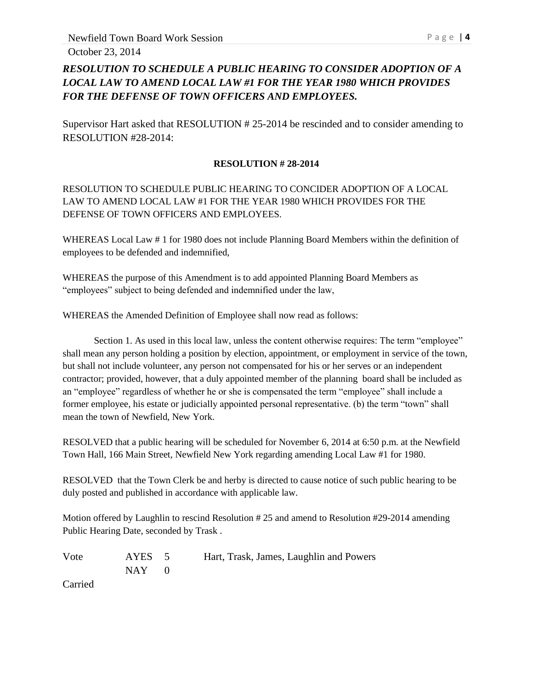October 23, 2014

# *RESOLUTION TO SCHEDULE A PUBLIC HEARING TO CONSIDER ADOPTION OF A LOCAL LAW TO AMEND LOCAL LAW #1 FOR THE YEAR 1980 WHICH PROVIDES FOR THE DEFENSE OF TOWN OFFICERS AND EMPLOYEES.*

Supervisor Hart asked that RESOLUTION # 25-2014 be rescinded and to consider amending to RESOLUTION #28-2014:

### **RESOLUTION # 28-2014**

### RESOLUTION TO SCHEDULE PUBLIC HEARING TO CONCIDER ADOPTION OF A LOCAL LAW TO AMEND LOCAL LAW #1 FOR THE YEAR 1980 WHICH PROVIDES FOR THE DEFENSE OF TOWN OFFICERS AND EMPLOYEES.

WHEREAS Local Law # 1 for 1980 does not include Planning Board Members within the definition of employees to be defended and indemnified,

WHEREAS the purpose of this Amendment is to add appointed Planning Board Members as "employees" subject to being defended and indemnified under the law,

WHEREAS the Amended Definition of Employee shall now read as follows:

Section 1. As used in this local law, unless the content otherwise requires: The term "employee" shall mean any person holding a position by election, appointment, or employment in service of the town, but shall not include volunteer, any person not compensated for his or her serves or an independent contractor; provided, however, that a duly appointed member of the planning board shall be included as an "employee" regardless of whether he or she is compensated the term "employee" shall include a former employee, his estate or judicially appointed personal representative. (b) the term "town" shall mean the town of Newfield, New York.

RESOLVED that a public hearing will be scheduled for November 6, 2014 at 6:50 p.m. at the Newfield Town Hall, 166 Main Street, Newfield New York regarding amending Local Law #1 for 1980.

RESOLVED that the Town Clerk be and herby is directed to cause notice of such public hearing to be duly posted and published in accordance with applicable law.

Motion offered by Laughlin to rescind Resolution # 25 and amend to Resolution #29-2014 amending Public Hearing Date, seconded by Trask .

Vote AYES 5 Hart, Trask, James, Laughlin and Powers  $NAY$  0

Carried